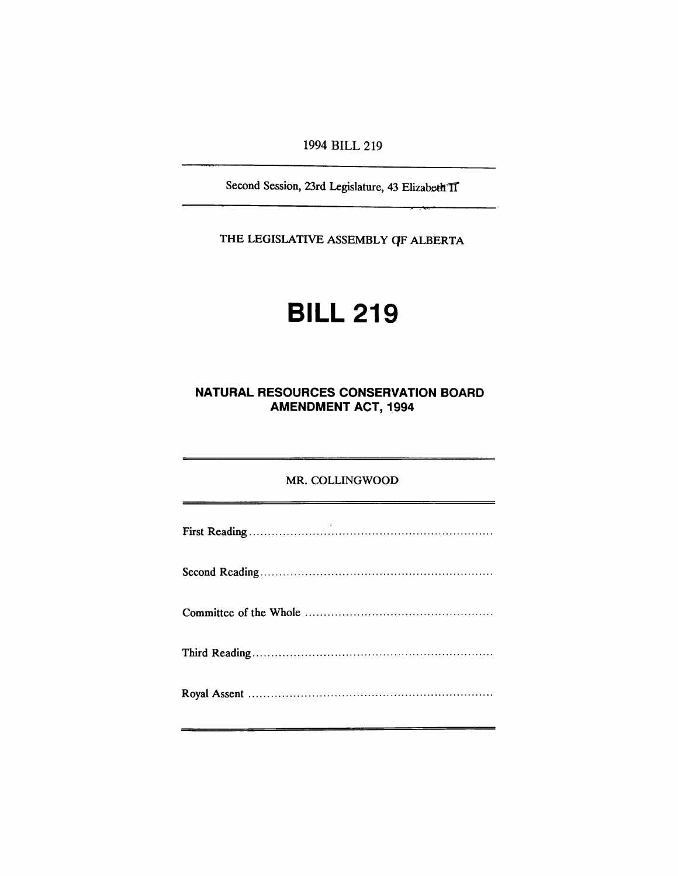#### 1994 BILL 219

Second Session, 23rd Legislature, 43 Elizabeth 1I

THE LEGISLATIVE ASSEMBLY QF ALBERTA

# BILL 219

## **NATURAL RESOURCES CONSERVATION BOARD AMENDMENT ACT, 1994**

#### MR. COLLINGWOOD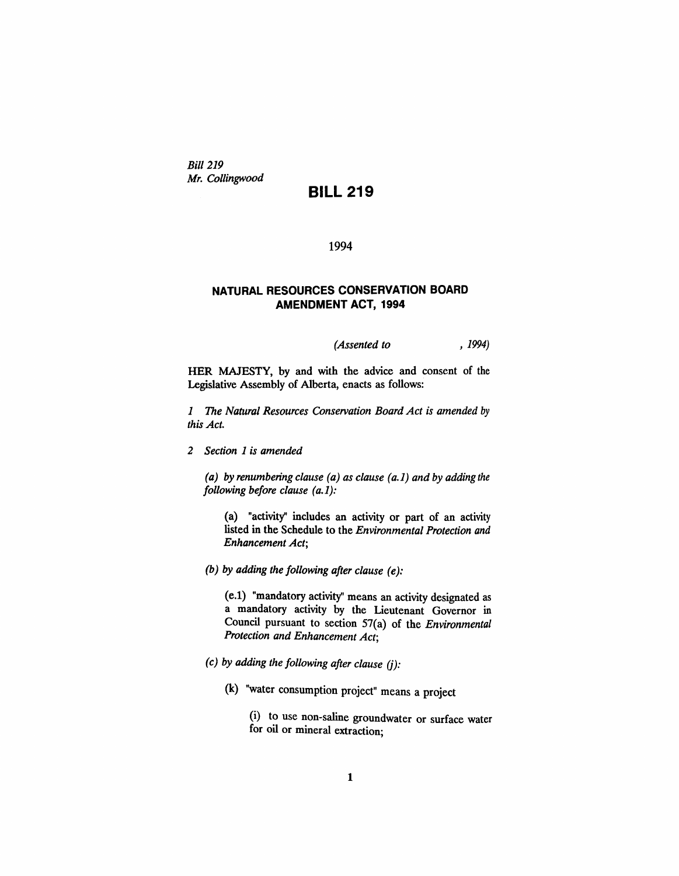*Bill 219 Mr. Collingwood*

### **BILL 219**

#### 1994

#### **NATURAL RESOURCES CONSERVATION BOARD AMENDMENT ACT, 1994**

*(Assented to* , 1994)

HER MAJESTY, by and with the advice and consent of the Legislative Assembly of Alberta, enacts as follows:

*1 The Natural Resources Conservation Board Act is amended* by *this Act.*

*2 Section* 1 *is amended*

*(a) by renumbering clause (a) as clause (a.1) and by adding the following before clause (a.* 1):

(a) "activity" includes an activity or part of an activity listed in the Schedule to the *Environmental Protection and Enhancement Act;*

*(b) by adding the following after clause (e):*

(e.1) "mandatory activity" means an activity designated as a mandatory activity by the Lieutenant Governor in Council pursuant to section 57(a) of the *Environmental Protection and Enhancement Act;*

- *(c) by adding the following after clause* (j):
	- (k) "water consumption project" means a project

(i) to use non-saline groundwater or surface water for oil or mineral extraction;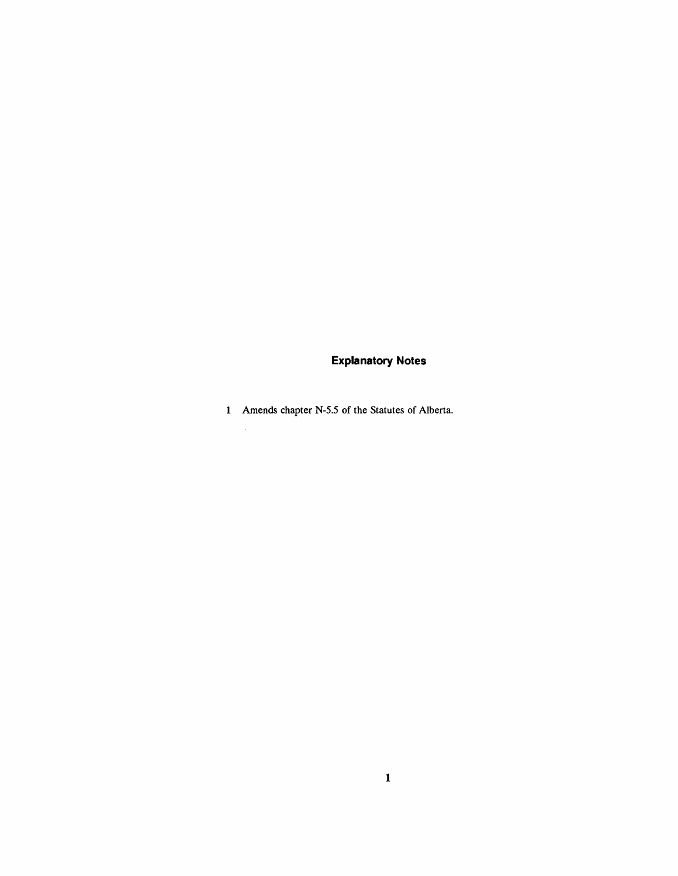# **Explanatory Notes**

Amends chapter N-5.5 of the Statutes of Alberta.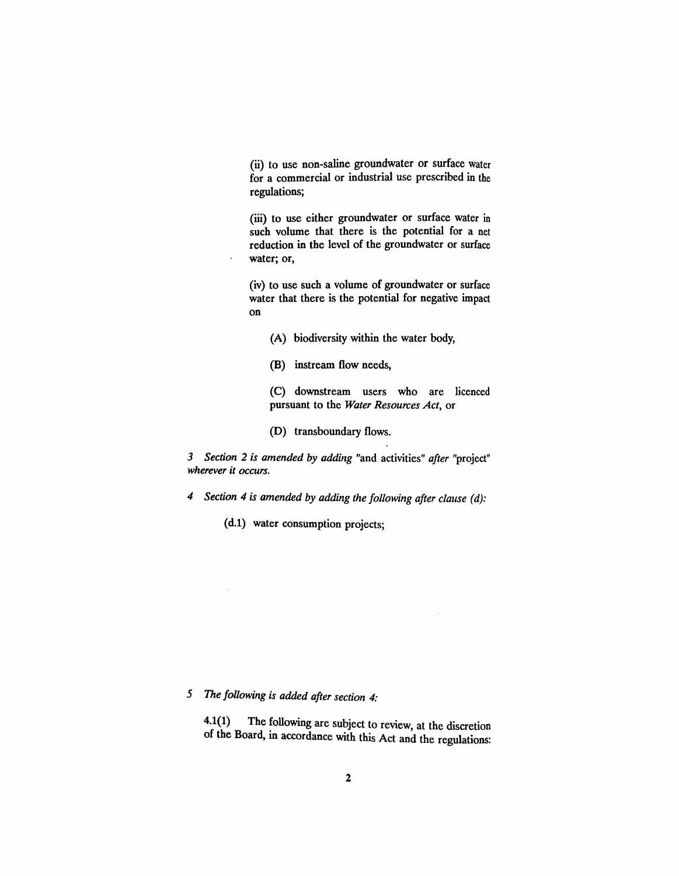(ii) to use non-saline groundwater or surface water for a commercial or industrial use prescribed in the regulations;

(iii) to use either groundwater or surface water in such volume that there is the potential for a net reduction in the level of the groundwater or surface water; or,

(iv) to use such a volume of groundwater or surface water that there is the potential for negative impact on

- (A) biodiversity within the water body,
- (B) instream flow needs,

 $\ddot{\phantom{a}}$ 

(C) downstream users who are licenced pursuant to the *Water Resources Act,* or

(D) transboundary flows.

*3 Section* 2 *is amended* by *adding* "and activities" *after* "project" *wherever it occurs.*

*4 Section* 4 *is amended* by *adding the following after clause (d):*

(d.1) water consumption projects;

# 5 The *following is added after section 4:*

 $4.1(1)$  The following are subject to review, at the discretion of the Board, in accordance with this Act and the regulations: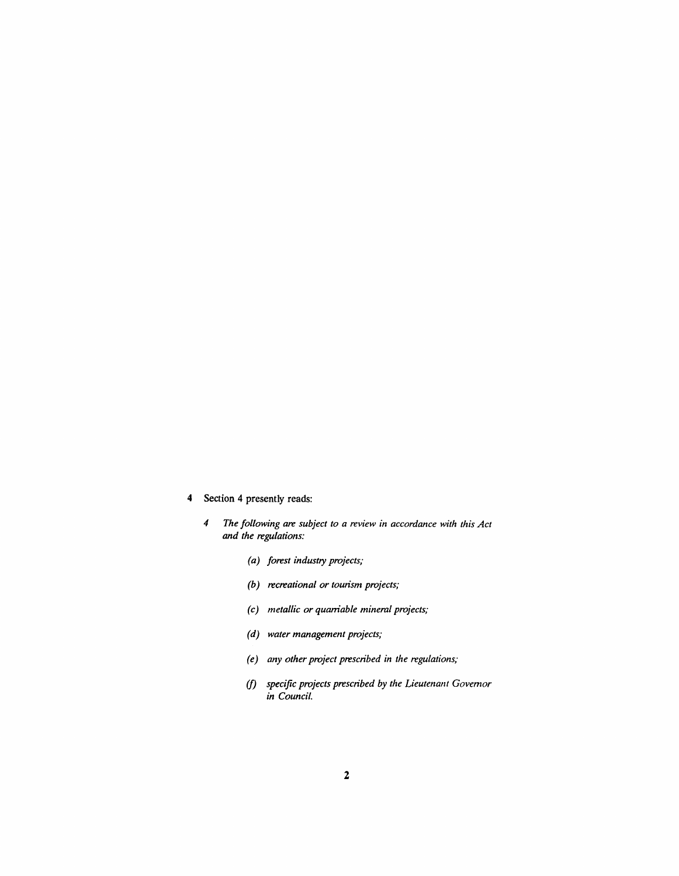- 4 Section 4 presently reads:
	- *4 The following are subject to a review in accordance with this Act and the regulations:*
		- *(a) forest industry projects;*
		- *(b) recreational or tourism projects;*
		- *(c) metallic or quaniable mineral projects;*
		- *(d) water management projects;*
		- *(e) any other project prescribed in the regulations;*
		- *(f) specific projects prescribed by the Lieutenant Governor in Council.*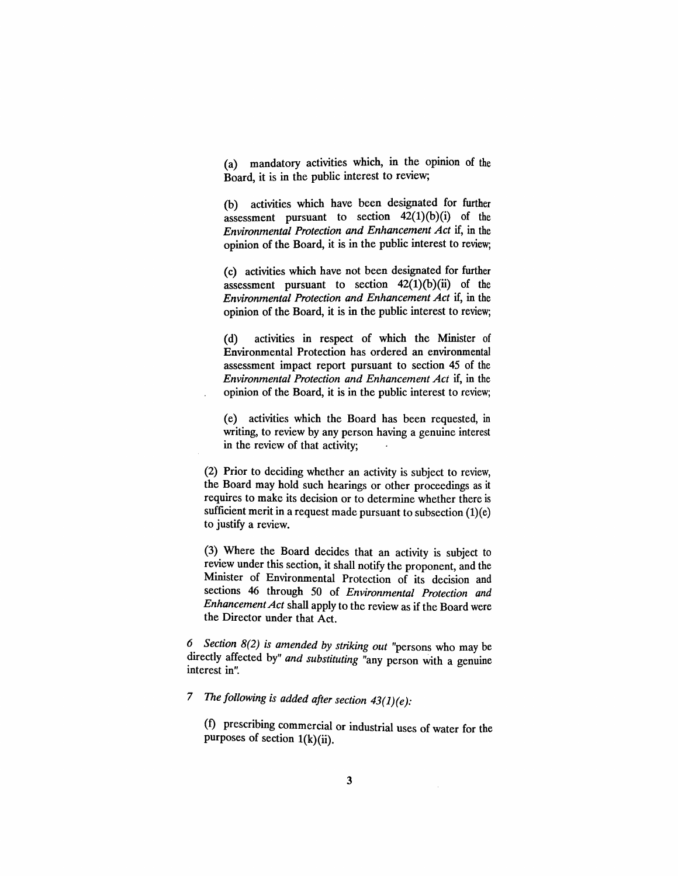$(a)$  mandatory activities which, in the opinion of the Board, it is in the public interest to review;

(b) activities which have been designated for further assessment pursuant to section  $42(1)(b)(i)$  of the *Environmental Protection and Enhancement Act* if, in the opinion of the Board, it is in the public interest to review;

(c) activities which have not been designated for further assessment pursuant to section  $42(1)(b)(ii)$  of the *Environmental Protection and Enhancement Act* if, in the opinion of the Board, it is in the public interest to review;

(d) activities in respect of which the Minister of Environmental Protection has ordered an environmental assessment impact report pursuant to section 45 of the *Environmental Protection and Enhancement Act* if, in the opinion of the Board, it is in the public interest to review;

(e) activities which the Board has been requested, in writing, to review by any person having a genuine interest in the review of that activity;

(2) Prior to deciding whether an activity is subject to review, the Board may hold such hearings or other proceedings as it requires to make its decision or to determine whether there is sufficient merit in a request made pursuant to subsection  $(1)(e)$ to justify a review.

(3) Where the Board decides that an activity is subject to review under this section, it shall notify the proponent, and the Minister of Environmental Protection of its decision and sections 46 through 50 of *Environmental Protection and EnhancementAct* shall apply to the review as if the Board were the Director under that Act.

*6 Section* 8(2) *is amended* by *striking out* "persons who may be directly affected by" *and substituting* "any person With a genuine interest in".

*7 The following is added after section 43(1)(e):*

(f) prescribing commercial or industrial uses of water for the purposes of section  $1(k)(ii)$ .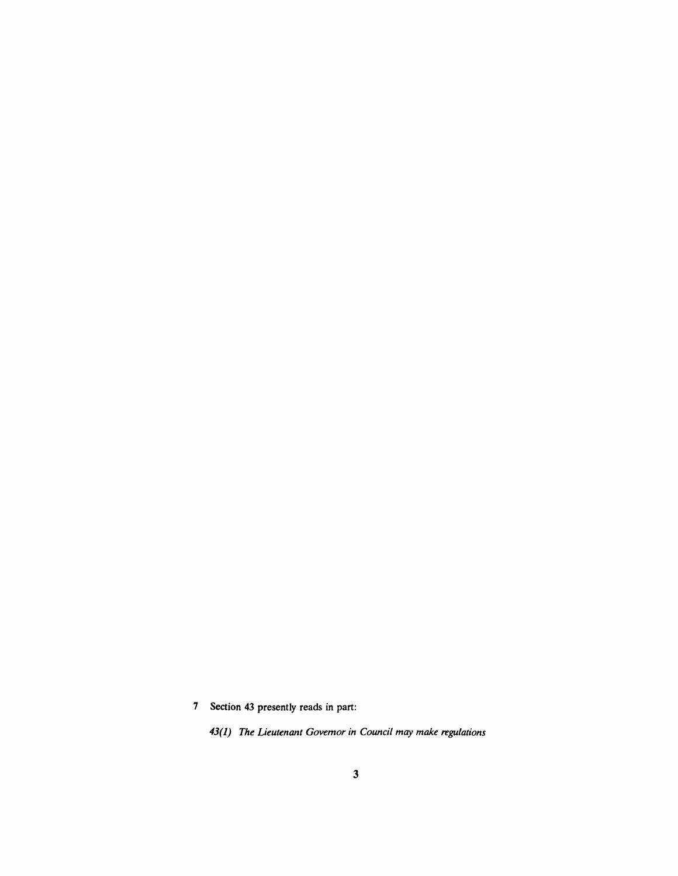Section 43 presently reads in part:

*43(1) The Lieutenant Governor in Council may make regulations*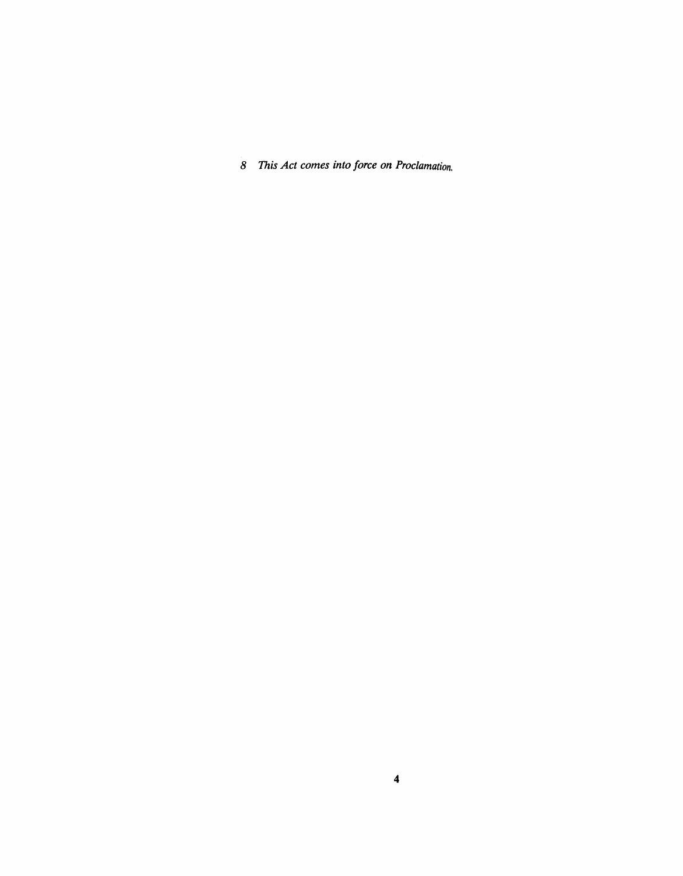*This Act comes into force on Proclamation.*